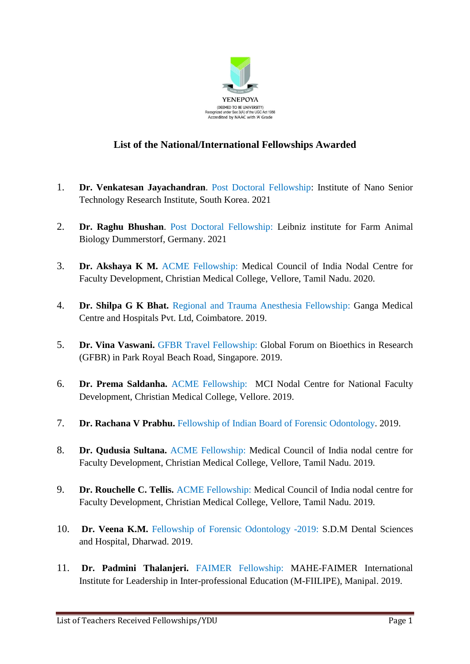

## **List of the National/International Fellowships Awarded**

- 1. **Dr. Venkatesan Jayachandran**. Post Doctoral Fellowship: Institute of Nano Senior Technology Research Institute, South Korea. 2021
- 2. **Dr. Raghu Bhushan**. Post Doctoral Fellowship: Leibniz institute for Farm Animal Biology Dummerstorf, Germany. 2021
- 3. **Dr. Akshaya K M.** ACME Fellowship: Medical Council of India Nodal Centre for Faculty Development, Christian Medical College, Vellore, Tamil Nadu. 2020.
- 4. **Dr. Shilpa G K Bhat.** Regional and Trauma Anesthesia Fellowship: Ganga Medical Centre and Hospitals Pvt. Ltd, Coimbatore. 2019.
- 5. **Dr. Vina Vaswani.** GFBR Travel Fellowship: Global Forum on Bioethics in Research (GFBR) in Park Royal Beach Road, Singapore. 2019.
- 6. **Dr. Prema Saldanha.** ACME Fellowship: MCI Nodal Centre for National Faculty Development, Christian Medical College, Vellore. 2019.
- 7. **Dr. Rachana V Prabhu.** Fellowship of Indian Board of Forensic Odontology. 2019.
- 8. **Dr. Qudusia Sultana.** ACME Fellowship: Medical Council of India nodal centre for Faculty Development, Christian Medical College, Vellore, Tamil Nadu. 2019.
- 9. **Dr. Rouchelle C. Tellis.** ACME Fellowship: Medical Council of India nodal centre for Faculty Development, Christian Medical College, Vellore, Tamil Nadu. 2019.
- 10. **Dr. Veena K.M.** Fellowship of Forensic Odontology -2019: S.D.M Dental Sciences and Hospital, Dharwad. 2019.
- 11. **Dr. Padmini Thalanjeri.** FAIMER Fellowship: MAHE-FAIMER International Institute for Leadership in Inter-professional Education (M-FIILIPE), Manipal. 2019.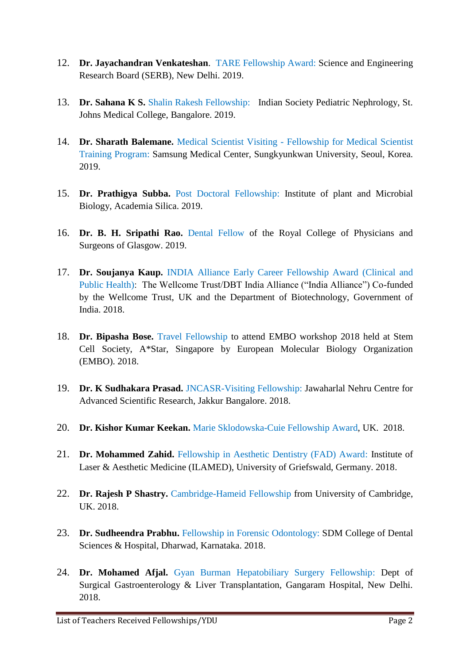- 12. **Dr. Jayachandran Venkateshan**. TARE Fellowship Award: Science and Engineering Research Board (SERB), New Delhi. 2019.
- 13. **Dr. Sahana K S.** Shalin Rakesh Fellowship: Indian Society Pediatric Nephrology, St. Johns Medical College, Bangalore. 2019.
- 14. **Dr. Sharath Balemane.** Medical Scientist Visiting Fellowship for Medical Scientist Training Program: Samsung Medical Center, Sungkyunkwan University, Seoul, Korea. 2019.
- 15. **Dr. Prathigya Subba.** Post Doctoral Fellowship: Institute of plant and Microbial Biology, Academia Silica. 2019.
- 16. **Dr. B. H. Sripathi Rao.** Dental Fellow of the Royal College of Physicians and Surgeons of Glasgow. 2019.
- 17. **Dr. Soujanya Kaup.** INDIA Alliance Early Career Fellowship Award (Clinical and Public Health): The Wellcome Trust/DBT India Alliance ("India Alliance") Co-funded by the Wellcome Trust, UK and the Department of Biotechnology, Government of India. 2018.
- 18. **Dr. Bipasha Bose.** Travel Fellowship to attend EMBO workshop 2018 held at Stem Cell Society, A\*Star, Singapore by European Molecular Biology Organization (EMBO). 2018.
- 19. **Dr. K Sudhakara Prasad.** JNCASR-Visiting Fellowship: Jawaharlal Nehru Centre for Advanced Scientific Research, Jakkur Bangalore. 2018.
- 20. **Dr. Kishor Kumar Keekan.** Marie Sklodowska-Cuie Fellowship Award, UK. 2018.
- 21. **Dr. Mohammed Zahid.** Fellowship in Aesthetic Dentistry (FAD) Award: Institute of Laser & Aesthetic Medicine (ILAMED), University of Griefswald, Germany. 2018.
- 22. **Dr. Rajesh P Shastry.** Cambridge-Hameid Fellowship from University of Cambridge, UK. 2018.
- 23. **Dr. Sudheendra Prabhu.** Fellowship in Forensic Odontology: SDM College of Dental Sciences & Hospital, Dharwad, Karnataka. 2018.
- 24. **Dr. Mohamed Afjal.** Gyan Burman Hepatobiliary Surgery Fellowship: Dept of Surgical Gastroenterology & Liver Transplantation, Gangaram Hospital, New Delhi. 2018.